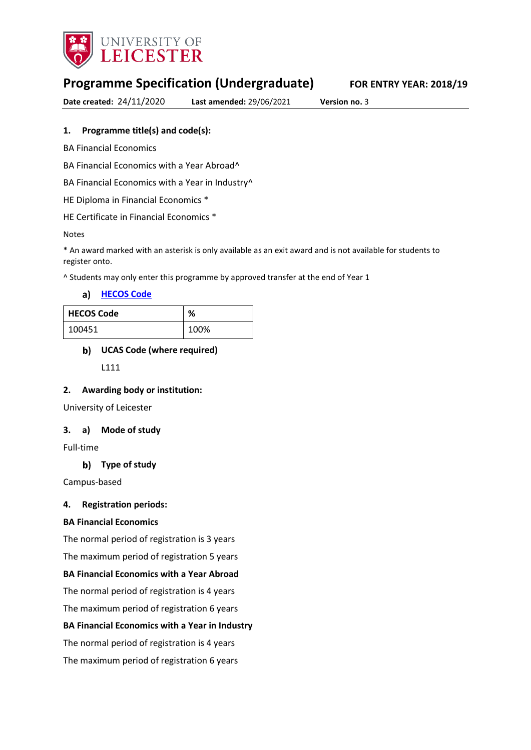

# **Programme Specification (Undergraduate) FOR ENTRY YEAR: 2018/19**

**Date created:** 24/11/2020 **Last amended:** 29/06/2021 **Version no.** 3

### **1. Programme title(s) and code(s):**

BA Financial Economics

BA Financial Economics with a Year Abroad^

BA Financial Economics with a Year in Industry^

HE Diploma in Financial Economics \*

HE Certificate in Financial Economics \*

#### Notes

\* An award marked with an asterisk is only available as an exit award and is not available for students to register onto.

^ Students may only enter this programme by approved transfer at the end of Year 1

**[HECOS Code](https://www.hesa.ac.uk/innovation/hecos)**

| <b>HECOS Code</b> | %    |
|-------------------|------|
| 100451            | 100% |

#### **UCAS Code (where required)**

L111

#### **2. Awarding body or institution:**

University of Leicester

#### **3. a) Mode of study**

Full-time

#### **Type of study**

Campus-based

#### **4. Registration periods:**

#### **BA Financial Economics**

The normal period of registration is 3 years

The maximum period of registration 5 years

### **BA Financial Economics with a Year Abroad**

The normal period of registration is 4 years

The maximum period of registration 6 years

#### **BA Financial Economics with a Year in Industry**

The normal period of registration is 4 years

The maximum period of registration 6 years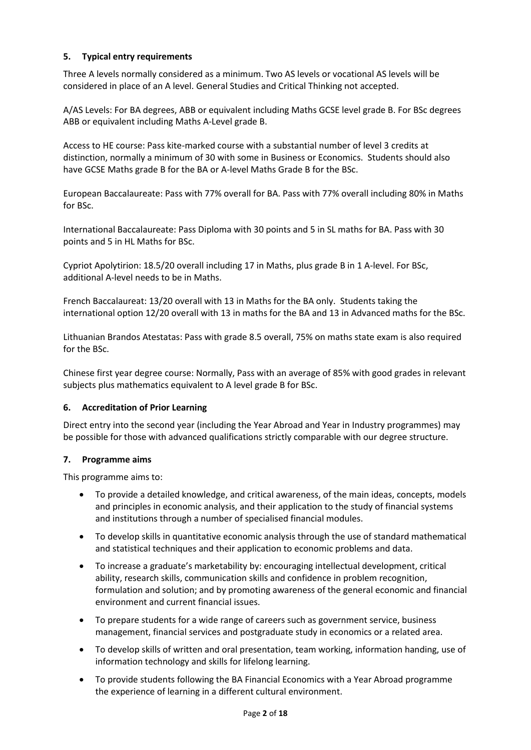### **5. Typical entry requirements**

Three A levels normally considered as a minimum. Two AS levels or vocational AS levels will be considered in place of an A level. General Studies and Critical Thinking not accepted.

A/AS Levels: For BA degrees, ABB or equivalent including Maths GCSE level grade B. For BSc degrees ABB or equivalent including Maths A-Level grade B.

Access to HE course: Pass kite-marked course with a substantial number of level 3 credits at distinction, normally a minimum of 30 with some in Business or Economics. Students should also have GCSE Maths grade B for the BA or A-level Maths Grade B for the BSc.

European Baccalaureate: Pass with 77% overall for BA. Pass with 77% overall including 80% in Maths for BSc.

International Baccalaureate: Pass Diploma with 30 points and 5 in SL maths for BA. Pass with 30 points and 5 in HL Maths for BSc.

Cypriot Apolytirion: 18.5/20 overall including 17 in Maths, plus grade B in 1 A-level. For BSc, additional A-level needs to be in Maths.

French Baccalaureat: 13/20 overall with 13 in Maths for the BA only. Students taking the international option 12/20 overall with 13 in maths for the BA and 13 in Advanced maths for the BSc.

Lithuanian Brandos Atestatas: Pass with grade 8.5 overall, 75% on maths state exam is also required for the BSc.

Chinese first year degree course: Normally, Pass with an average of 85% with good grades in relevant subjects plus mathematics equivalent to A level grade B for BSc.

### **6. Accreditation of Prior Learning**

Direct entry into the second year (including the Year Abroad and Year in Industry programmes) may be possible for those with advanced qualifications strictly comparable with our degree structure.

### **7. Programme aims**

This programme aims to:

- To provide a detailed knowledge, and critical awareness, of the main ideas, concepts, models and principles in economic analysis, and their application to the study of financial systems and institutions through a number of specialised financial modules.
- To develop skills in quantitative economic analysis through the use of standard mathematical and statistical techniques and their application to economic problems and data.
- To increase a graduate's marketability by: encouraging intellectual development, critical ability, research skills, communication skills and confidence in problem recognition, formulation and solution; and by promoting awareness of the general economic and financial environment and current financial issues.
- To prepare students for a wide range of careers such as government service, business management, financial services and postgraduate study in economics or a related area.
- To develop skills of written and oral presentation, team working, information handing, use of information technology and skills for lifelong learning.
- To provide students following the BA Financial Economics with a Year Abroad programme the experience of learning in a different cultural environment.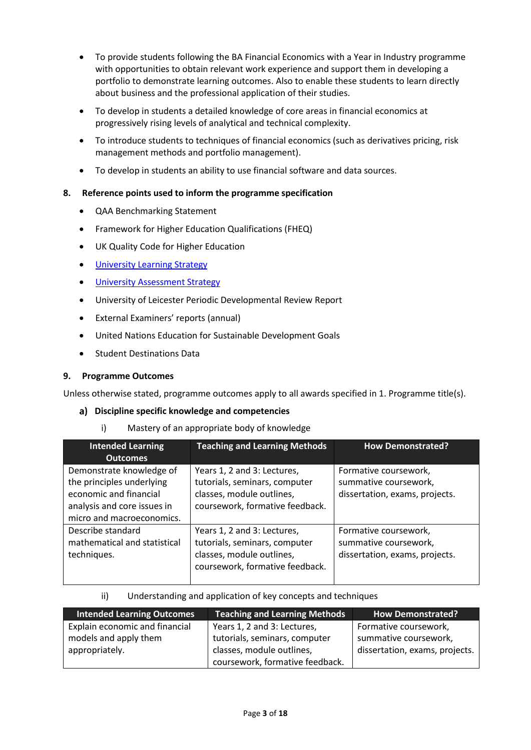- To provide students following the BA Financial Economics with a Year in Industry programme with opportunities to obtain relevant work experience and support them in developing a portfolio to demonstrate learning outcomes. Also to enable these students to learn directly about business and the professional application of their studies.
- To develop in students a detailed knowledge of core areas in financial economics at progressively rising levels of analytical and technical complexity.
- To introduce students to techniques of financial economics (such as derivatives pricing, risk management methods and portfolio management).
- To develop in students an ability to use financial software and data sources.

### **8. Reference points used to inform the programme specification**

- QAA Benchmarking Statement
- Framework for Higher Education Qualifications (FHEQ)
- UK Quality Code for Higher Education
- **University Learnin[g Strategy](https://www2.le.ac.uk/offices/sas2/quality/learnteach)**
- **[University Assessment Strategy](https://www2.le.ac.uk/offices/sas2/quality/learnteach)**
- University of Leicester Periodic Developmental Review Report
- External Examiners' reports (annual)
- United Nations Education for Sustainable Development Goals
- Student Destinations Data

### **9. Programme Outcomes**

Unless otherwise stated, programme outcomes apply to all awards specified in 1. Programme title(s).

#### **Discipline specific knowledge and competencies**

i) Mastery of an appropriate body of knowledge

| <b>Intended Learning</b>                                                                                                                    | <b>Teaching and Learning Methods</b>                                                                                         | <b>How Demonstrated?</b>                                                         |
|---------------------------------------------------------------------------------------------------------------------------------------------|------------------------------------------------------------------------------------------------------------------------------|----------------------------------------------------------------------------------|
| <b>Outcomes</b>                                                                                                                             |                                                                                                                              |                                                                                  |
| Demonstrate knowledge of<br>the principles underlying<br>economic and financial<br>analysis and core issues in<br>micro and macroeconomics. | Years 1, 2 and 3: Lectures,<br>tutorials, seminars, computer<br>classes, module outlines,<br>coursework, formative feedback. | Formative coursework,<br>summative coursework,<br>dissertation, exams, projects. |
| Describe standard<br>mathematical and statistical<br>techniques.                                                                            | Years 1, 2 and 3: Lectures,<br>tutorials, seminars, computer<br>classes, module outlines,<br>coursework, formative feedback. | Formative coursework,<br>summative coursework,<br>dissertation, exams, projects. |

#### ii) Understanding and application of key concepts and techniques

| <b>Intended Learning Outcomes</b> | <b>Teaching and Learning Methods</b> | <b>How Demonstrated?</b>       |
|-----------------------------------|--------------------------------------|--------------------------------|
| Explain economic and financial    | Years 1, 2 and 3: Lectures,          | Formative coursework,          |
| models and apply them             | tutorials, seminars, computer        | summative coursework,          |
| appropriately.                    | classes, module outlines,            | dissertation, exams, projects. |
|                                   | coursework, formative feedback.      |                                |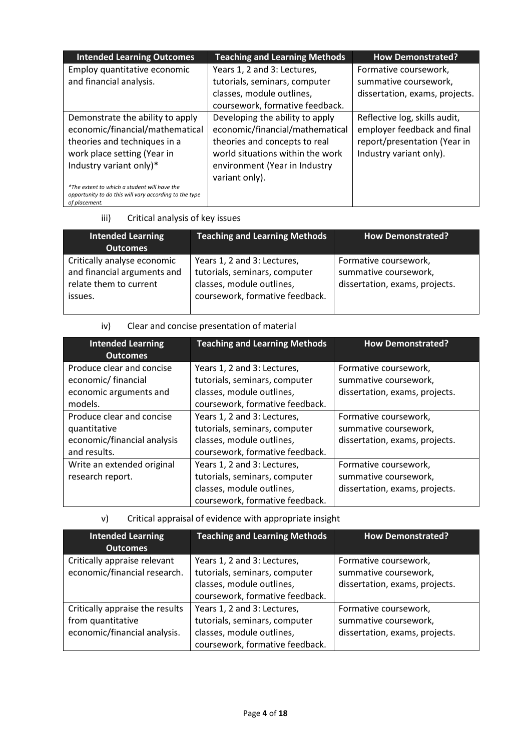| <b>Intended Learning Outcomes</b>                                                                                       | <b>Teaching and Learning Methods</b> | <b>How Demonstrated?</b>       |
|-------------------------------------------------------------------------------------------------------------------------|--------------------------------------|--------------------------------|
| Employ quantitative economic                                                                                            | Years 1, 2 and 3: Lectures,          | Formative coursework,          |
| and financial analysis.                                                                                                 | tutorials, seminars, computer        | summative coursework,          |
|                                                                                                                         | classes, module outlines,            | dissertation, exams, projects. |
|                                                                                                                         | coursework, formative feedback.      |                                |
| Demonstrate the ability to apply                                                                                        | Developing the ability to apply      | Reflective log, skills audit,  |
| economic/financial/mathematical                                                                                         | economic/financial/mathematical      | employer feedback and final    |
| theories and techniques in a                                                                                            | theories and concepts to real        | report/presentation (Year in   |
| work place setting (Year in                                                                                             | world situations within the work     | Industry variant only).        |
| Industry variant only)*                                                                                                 | environment (Year in Industry        |                                |
|                                                                                                                         | variant only).                       |                                |
| *The extent to which a student will have the<br>opportunity to do this will vary according to the type<br>of placement. |                                      |                                |

iii) Critical analysis of key issues

| <b>Intended Learning</b><br><b>Outcomes</b>                                                     | <b>Teaching and Learning Methods</b>                                                                                         | <b>How Demonstrated?</b>                                                         |
|-------------------------------------------------------------------------------------------------|------------------------------------------------------------------------------------------------------------------------------|----------------------------------------------------------------------------------|
| Critically analyse economic<br>and financial arguments and<br>relate them to current<br>issues. | Years 1, 2 and 3: Lectures,<br>tutorials, seminars, computer<br>classes, module outlines,<br>coursework, formative feedback. | Formative coursework,<br>summative coursework,<br>dissertation, exams, projects. |

iv) Clear and concise presentation of material

| <b>Intended Learning</b><br><b>Outcomes</b>                                              | <b>Teaching and Learning Methods</b>                                                                                         | <b>How Demonstrated?</b>                                                         |
|------------------------------------------------------------------------------------------|------------------------------------------------------------------------------------------------------------------------------|----------------------------------------------------------------------------------|
| Produce clear and concise<br>economic/financial<br>economic arguments and<br>models.     | Years 1, 2 and 3: Lectures,<br>tutorials, seminars, computer<br>classes, module outlines,<br>coursework, formative feedback. | Formative coursework,<br>summative coursework,<br>dissertation, exams, projects. |
| Produce clear and concise<br>quantitative<br>economic/financial analysis<br>and results. | Years 1, 2 and 3: Lectures,<br>tutorials, seminars, computer<br>classes, module outlines,<br>coursework, formative feedback. | Formative coursework,<br>summative coursework,<br>dissertation, exams, projects. |
| Write an extended original<br>research report.                                           | Years 1, 2 and 3: Lectures,<br>tutorials, seminars, computer<br>classes, module outlines,<br>coursework, formative feedback. | Formative coursework,<br>summative coursework,<br>dissertation, exams, projects. |

v) Critical appraisal of evidence with appropriate insight

| <b>Intended Learning</b><br><b>Outcomes</b>                                          | <b>Teaching and Learning Methods</b>                                                                                         | <b>How Demonstrated?</b>                                                         |
|--------------------------------------------------------------------------------------|------------------------------------------------------------------------------------------------------------------------------|----------------------------------------------------------------------------------|
| Critically appraise relevant<br>economic/financial research.                         | Years 1, 2 and 3: Lectures,<br>tutorials, seminars, computer<br>classes, module outlines,<br>coursework, formative feedback. | Formative coursework,<br>summative coursework,<br>dissertation, exams, projects. |
| Critically appraise the results<br>from quantitative<br>economic/financial analysis. | Years 1, 2 and 3: Lectures,<br>tutorials, seminars, computer<br>classes, module outlines,<br>coursework, formative feedback. | Formative coursework,<br>summative coursework,<br>dissertation, exams, projects. |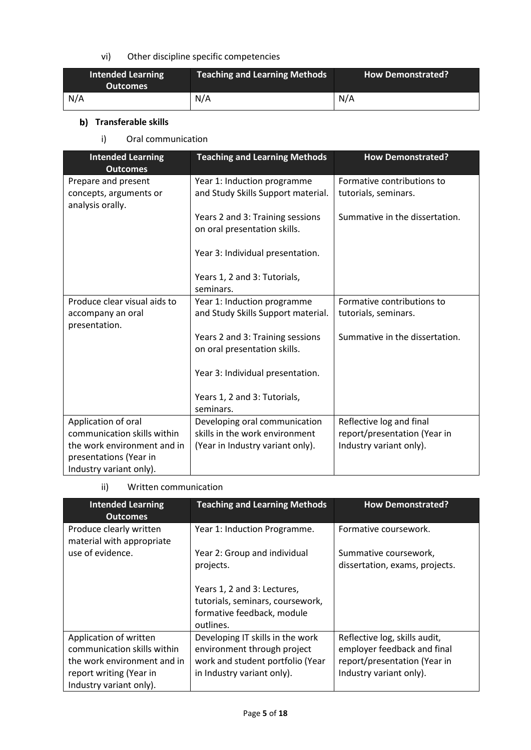## vi) Other discipline specific competencies

| <b>Intended Learning</b><br><b>Outcomes</b> | <b>Teaching and Learning Methods</b> | <b>How Demonstrated?</b> |
|---------------------------------------------|--------------------------------------|--------------------------|
| N/A                                         | N/A                                  | N/A                      |

## **b)** Transferable skills

i) Oral communication

| <b>Intended Learning</b><br><b>Outcomes</b>                       | <b>Teaching and Learning Methods</b>                              | <b>How Demonstrated?</b>                           |
|-------------------------------------------------------------------|-------------------------------------------------------------------|----------------------------------------------------|
| Prepare and present<br>concepts, arguments or<br>analysis orally. | Year 1: Induction programme<br>and Study Skills Support material. | Formative contributions to<br>tutorials, seminars. |
|                                                                   | Years 2 and 3: Training sessions<br>on oral presentation skills.  | Summative in the dissertation.                     |
|                                                                   | Year 3: Individual presentation.                                  |                                                    |
|                                                                   | Years 1, 2 and 3: Tutorials,<br>seminars.                         |                                                    |
| Produce clear visual aids to                                      | Year 1: Induction programme                                       | Formative contributions to                         |
| accompany an oral<br>presentation.                                | and Study Skills Support material.                                | tutorials, seminars.                               |
|                                                                   | Years 2 and 3: Training sessions                                  | Summative in the dissertation.                     |
|                                                                   | on oral presentation skills.                                      |                                                    |
|                                                                   | Year 3: Individual presentation.                                  |                                                    |
|                                                                   | Years 1, 2 and 3: Tutorials,                                      |                                                    |
|                                                                   | seminars.                                                         |                                                    |
| Application of oral                                               | Developing oral communication                                     | Reflective log and final                           |
| communication skills within                                       | skills in the work environment                                    | report/presentation (Year in                       |
| the work environment and in                                       | (Year in Industry variant only).                                  | Industry variant only).                            |
| presentations (Year in                                            |                                                                   |                                                    |
| Industry variant only).                                           |                                                                   |                                                    |

### ii) Written communication

| <b>Intended Learning</b><br><b>Outcomes</b>                                                                                                | <b>Teaching and Learning Methods</b>                                                                                              | <b>How Demonstrated?</b>                                                                                                |
|--------------------------------------------------------------------------------------------------------------------------------------------|-----------------------------------------------------------------------------------------------------------------------------------|-------------------------------------------------------------------------------------------------------------------------|
| Produce clearly written<br>material with appropriate<br>use of evidence.                                                                   | Year 1: Induction Programme.<br>Year 2: Group and individual<br>projects.                                                         | Formative coursework.<br>Summative coursework,<br>dissertation, exams, projects.                                        |
|                                                                                                                                            | Years 1, 2 and 3: Lectures,<br>tutorials, seminars, coursework,<br>formative feedback, module<br>outlines.                        |                                                                                                                         |
| Application of written<br>communication skills within<br>the work environment and in<br>report writing (Year in<br>Industry variant only). | Developing IT skills in the work<br>environment through project<br>work and student portfolio (Year<br>in Industry variant only). | Reflective log, skills audit,<br>employer feedback and final<br>report/presentation (Year in<br>Industry variant only). |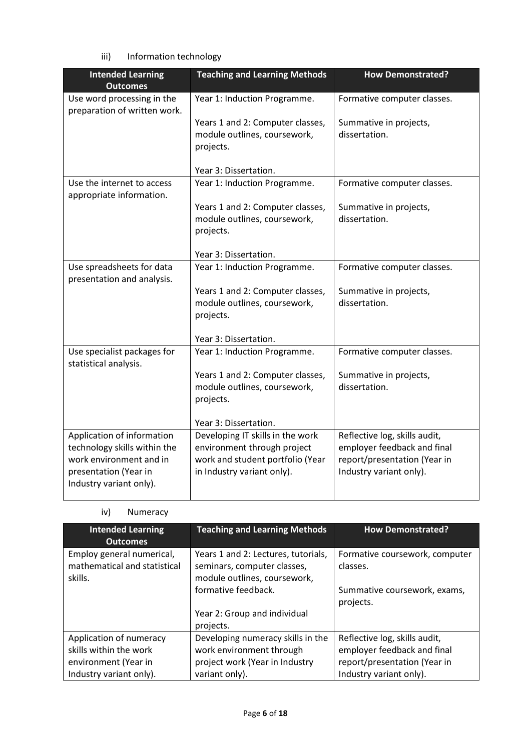iii) Information technology

| <b>Intended Learning</b><br><b>Outcomes</b>                | <b>Teaching and Learning Methods</b>                           | <b>How Demonstrated?</b>                                |
|------------------------------------------------------------|----------------------------------------------------------------|---------------------------------------------------------|
| Use word processing in the<br>preparation of written work. | Year 1: Induction Programme.                                   | Formative computer classes.                             |
|                                                            | Years 1 and 2: Computer classes,                               | Summative in projects,                                  |
|                                                            | module outlines, coursework,                                   | dissertation.                                           |
|                                                            | projects.                                                      |                                                         |
|                                                            | Year 3: Dissertation.                                          |                                                         |
| Use the internet to access<br>appropriate information.     | Year 1: Induction Programme.                                   | Formative computer classes.                             |
|                                                            | Years 1 and 2: Computer classes,                               | Summative in projects,                                  |
|                                                            | module outlines, coursework,<br>projects.                      | dissertation.                                           |
|                                                            | Year 3: Dissertation.                                          |                                                         |
| Use spreadsheets for data<br>presentation and analysis.    | Year 1: Induction Programme.                                   | Formative computer classes.                             |
|                                                            | Years 1 and 2: Computer classes,                               | Summative in projects,                                  |
|                                                            | module outlines, coursework,<br>projects.                      | dissertation.                                           |
|                                                            | Year 3: Dissertation.                                          |                                                         |
| Use specialist packages for<br>statistical analysis.       | Year 1: Induction Programme.                                   | Formative computer classes.                             |
|                                                            | Years 1 and 2: Computer classes,                               | Summative in projects,                                  |
|                                                            | module outlines, coursework,                                   | dissertation.                                           |
|                                                            | projects.                                                      |                                                         |
|                                                            | Year 3: Dissertation.                                          |                                                         |
| Application of information                                 | Developing IT skills in the work                               | Reflective log, skills audit,                           |
| technology skills within the                               | environment through project                                    | employer feedback and final                             |
| work environment and in<br>presentation (Year in           | work and student portfolio (Year<br>in Industry variant only). | report/presentation (Year in<br>Industry variant only). |
| Industry variant only).                                    |                                                                |                                                         |

## iv) Numeracy

| <b>Intended Learning</b><br><b>Outcomes</b>                          | <b>Teaching and Learning Methods</b>                                                               | <b>How Demonstrated?</b>                   |
|----------------------------------------------------------------------|----------------------------------------------------------------------------------------------------|--------------------------------------------|
| Employ general numerical,<br>mathematical and statistical<br>skills. | Years 1 and 2: Lectures, tutorials,<br>seminars, computer classes,<br>module outlines, coursework, | Formative coursework, computer<br>classes. |
|                                                                      | formative feedback.                                                                                | Summative coursework, exams,<br>projects.  |
|                                                                      | Year 2: Group and individual<br>projects.                                                          |                                            |
| Application of numeracy                                              | Developing numeracy skills in the                                                                  | Reflective log, skills audit,              |
| skills within the work                                               | work environment through                                                                           | employer feedback and final                |
| environment (Year in                                                 | project work (Year in Industry                                                                     | report/presentation (Year in               |
| Industry variant only).                                              | variant only).                                                                                     | Industry variant only).                    |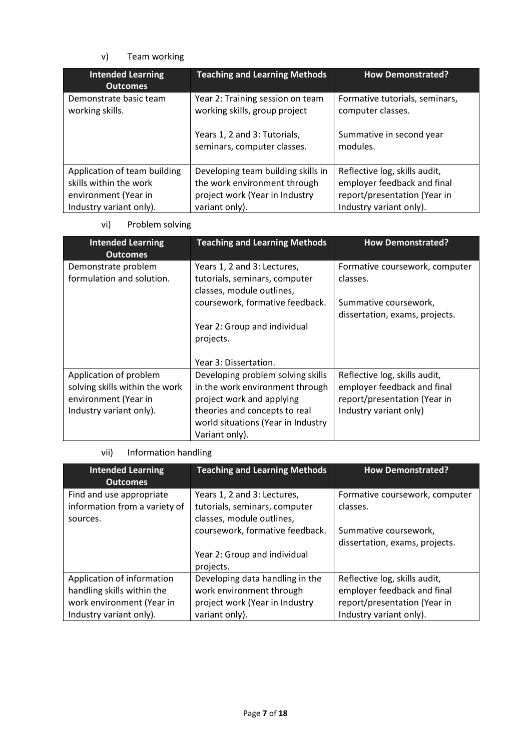## v) Team working

| <b>Intended Learning</b><br><b>Outcomes</b>            | <b>Teaching and Learning Methods</b>                                                                                             | <b>How Demonstrated?</b>                                                                    |
|--------------------------------------------------------|----------------------------------------------------------------------------------------------------------------------------------|---------------------------------------------------------------------------------------------|
| Demonstrate basic team<br>working skills.              | Year 2: Training session on team<br>working skills, group project<br>Years 1, 2 and 3: Tutorials,<br>seminars, computer classes. | Formative tutorials, seminars,<br>computer classes.<br>Summative in second year<br>modules. |
|                                                        |                                                                                                                                  |                                                                                             |
| Application of team building<br>skills within the work | Developing team building skills in<br>the work environment through                                                               | Reflective log, skills audit,<br>employer feedback and final                                |
| environment (Year in                                   | project work (Year in Industry                                                                                                   | report/presentation (Year in                                                                |
| Industry variant only).                                | variant only).                                                                                                                   | Industry variant only).                                                                     |

vi) Problem solving

| <b>Intended Learning</b><br><b>Outcomes</b>                                                                 | <b>Teaching and Learning Methods</b>                                                                                                                                                       | <b>How Demonstrated?</b>                                                                                               |
|-------------------------------------------------------------------------------------------------------------|--------------------------------------------------------------------------------------------------------------------------------------------------------------------------------------------|------------------------------------------------------------------------------------------------------------------------|
| Demonstrate problem<br>formulation and solution.                                                            | Years 1, 2 and 3: Lectures,<br>tutorials, seminars, computer<br>classes, module outlines,                                                                                                  | Formative coursework, computer<br>classes.                                                                             |
|                                                                                                             | coursework, formative feedback.                                                                                                                                                            | Summative coursework,<br>dissertation, exams, projects.                                                                |
|                                                                                                             | Year 2: Group and individual<br>projects.                                                                                                                                                  |                                                                                                                        |
|                                                                                                             | Year 3: Dissertation.                                                                                                                                                                      |                                                                                                                        |
| Application of problem<br>solving skills within the work<br>environment (Year in<br>Industry variant only). | Developing problem solving skills<br>in the work environment through<br>project work and applying<br>theories and concepts to real<br>world situations (Year in Industry<br>Variant only). | Reflective log, skills audit,<br>employer feedback and final<br>report/presentation (Year in<br>Industry variant only) |

## vii) Information handling

| <b>Intended Learning</b><br><b>Outcomes</b>                                                                      | <b>Teaching and Learning Methods</b>                                                                                         | <b>How Demonstrated?</b>                                                                                                |
|------------------------------------------------------------------------------------------------------------------|------------------------------------------------------------------------------------------------------------------------------|-------------------------------------------------------------------------------------------------------------------------|
| Find and use appropriate<br>information from a variety of<br>sources.                                            | Years 1, 2 and 3: Lectures,<br>tutorials, seminars, computer<br>classes, module outlines,<br>coursework, formative feedback. | Formative coursework, computer<br>classes.<br>Summative coursework,<br>dissertation, exams, projects.                   |
|                                                                                                                  | Year 2: Group and individual<br>projects.                                                                                    |                                                                                                                         |
| Application of information<br>handling skills within the<br>work environment (Year in<br>Industry variant only). | Developing data handling in the<br>work environment through<br>project work (Year in Industry<br>variant only).              | Reflective log, skills audit,<br>employer feedback and final<br>report/presentation (Year in<br>Industry variant only). |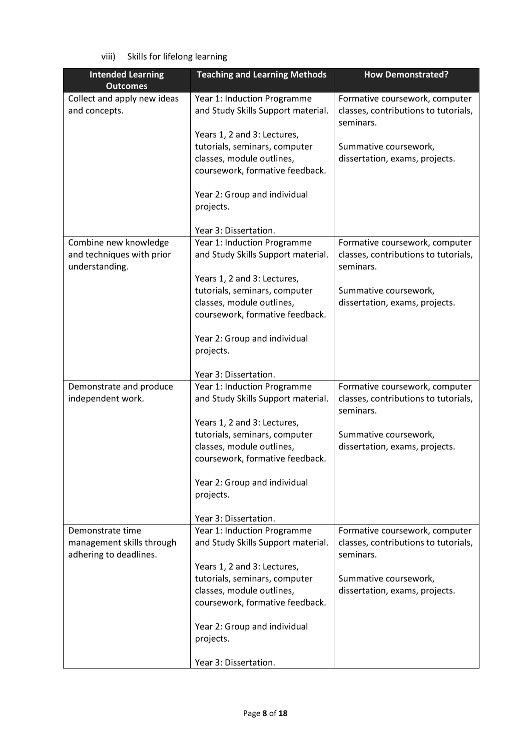viii) Skills for lifelong learning

| <b>Intended Learning</b>    | <b>Teaching and Learning Methods</b> | <b>How Demonstrated?</b>                          |
|-----------------------------|--------------------------------------|---------------------------------------------------|
| <b>Outcomes</b>             |                                      |                                                   |
| Collect and apply new ideas | Year 1: Induction Programme          | Formative coursework, computer                    |
| and concepts.               | and Study Skills Support material.   | classes, contributions to tutorials,              |
|                             |                                      | seminars.                                         |
|                             | Years 1, 2 and 3: Lectures,          |                                                   |
|                             | tutorials, seminars, computer        | Summative coursework,                             |
|                             | classes, module outlines,            | dissertation, exams, projects.                    |
|                             | coursework, formative feedback.      |                                                   |
|                             | Year 2: Group and individual         |                                                   |
|                             | projects.                            |                                                   |
|                             |                                      |                                                   |
|                             | Year 3: Dissertation.                |                                                   |
| Combine new knowledge       | Year 1: Induction Programme          | Formative coursework, computer                    |
| and techniques with prior   | and Study Skills Support material.   | classes, contributions to tutorials,              |
| understanding.              |                                      | seminars.                                         |
|                             | Years 1, 2 and 3: Lectures,          |                                                   |
|                             | tutorials, seminars, computer        | Summative coursework,                             |
|                             | classes, module outlines,            | dissertation, exams, projects.                    |
|                             | coursework, formative feedback.      |                                                   |
|                             |                                      |                                                   |
|                             | Year 2: Group and individual         |                                                   |
|                             | projects.                            |                                                   |
|                             |                                      |                                                   |
|                             | Year 3: Dissertation.                |                                                   |
| Demonstrate and produce     | Year 1: Induction Programme          | Formative coursework, computer                    |
| independent work.           | and Study Skills Support material.   | classes, contributions to tutorials,<br>seminars. |
|                             | Years 1, 2 and 3: Lectures,          |                                                   |
|                             | tutorials, seminars, computer        | Summative coursework,                             |
|                             | classes, module outlines,            | dissertation, exams, projects.                    |
|                             | coursework, formative feedback.      |                                                   |
|                             | Year 2: Group and individual         |                                                   |
|                             | projects.                            |                                                   |
|                             |                                      |                                                   |
|                             | Year 3: Dissertation.                |                                                   |
| Demonstrate time            | Year 1: Induction Programme          | Formative coursework, computer                    |
| management skills through   | and Study Skills Support material.   | classes, contributions to tutorials,              |
| adhering to deadlines.      |                                      | seminars.                                         |
|                             | Years 1, 2 and 3: Lectures,          |                                                   |
|                             | tutorials, seminars, computer        | Summative coursework,                             |
|                             | classes, module outlines,            | dissertation, exams, projects.                    |
|                             | coursework, formative feedback.      |                                                   |
|                             |                                      |                                                   |
|                             | Year 2: Group and individual         |                                                   |
|                             | projects.                            |                                                   |
|                             | Year 3: Dissertation.                |                                                   |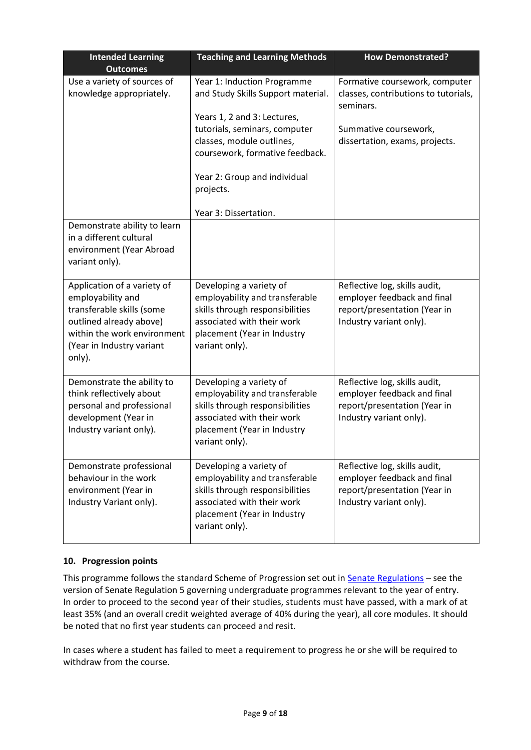| <b>Intended Learning</b><br><b>Outcomes</b>                                                                                                                                    | <b>Teaching and Learning Methods</b>                                                                                                                                                                                                                                    | <b>How Demonstrated?</b>                                                                                                                       |
|--------------------------------------------------------------------------------------------------------------------------------------------------------------------------------|-------------------------------------------------------------------------------------------------------------------------------------------------------------------------------------------------------------------------------------------------------------------------|------------------------------------------------------------------------------------------------------------------------------------------------|
| Use a variety of sources of<br>knowledge appropriately.                                                                                                                        | Year 1: Induction Programme<br>and Study Skills Support material.<br>Years 1, 2 and 3: Lectures,<br>tutorials, seminars, computer<br>classes, module outlines,<br>coursework, formative feedback.<br>Year 2: Group and individual<br>projects.<br>Year 3: Dissertation. | Formative coursework, computer<br>classes, contributions to tutorials,<br>seminars.<br>Summative coursework,<br>dissertation, exams, projects. |
| Demonstrate ability to learn<br>in a different cultural<br>environment (Year Abroad<br>variant only).                                                                          |                                                                                                                                                                                                                                                                         |                                                                                                                                                |
| Application of a variety of<br>employability and<br>transferable skills (some<br>outlined already above)<br>within the work environment<br>(Year in Industry variant<br>only). | Developing a variety of<br>employability and transferable<br>skills through responsibilities<br>associated with their work<br>placement (Year in Industry<br>variant only).                                                                                             | Reflective log, skills audit,<br>employer feedback and final<br>report/presentation (Year in<br>Industry variant only).                        |
| Demonstrate the ability to<br>think reflectively about<br>personal and professional<br>development (Year in<br>Industry variant only).                                         | Developing a variety of<br>employability and transferable<br>skills through responsibilities<br>associated with their work<br>placement (Year in Industry<br>variant only).                                                                                             | Reflective log, skills audit,<br>employer feedback and final<br>report/presentation (Year in<br>Industry variant only).                        |
| Demonstrate professional<br>behaviour in the work<br>environment (Year in<br>Industry Variant only).                                                                           | Developing a variety of<br>employability and transferable<br>skills through responsibilities<br>associated with their work<br>placement (Year in Industry<br>variant only).                                                                                             | Reflective log, skills audit,<br>employer feedback and final<br>report/presentation (Year in<br>Industry variant only).                        |

## **10. Progression points**

This programme follows the standard Scheme of Progression set out in **Senate Regulations** - see the version of Senate Regulation 5 governing undergraduate programmes relevant to the year of entry. In order to proceed to the second year of their studies, students must have passed, with a mark of at least 35% (and an overall credit weighted average of 40% during the year), all core modules. It should be noted that no first year students can proceed and resit.

In cases where a student has failed to meet a requirement to progress he or she will be required to withdraw from the course.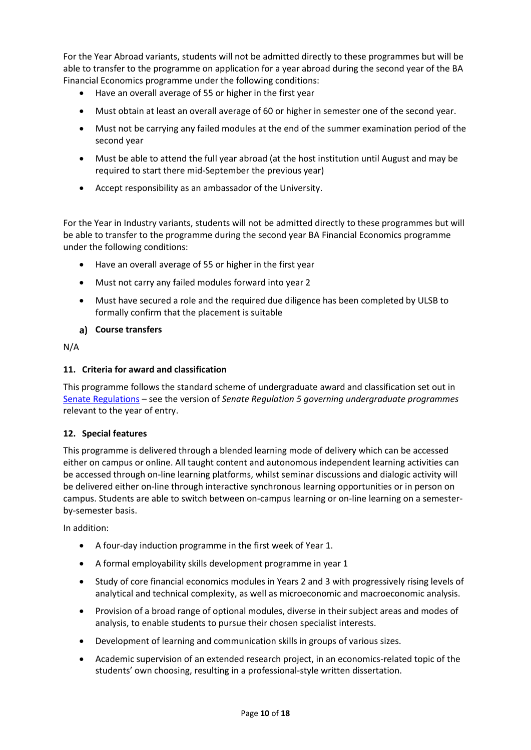For the Year Abroad variants, students will not be admitted directly to these programmes but will be able to transfer to the programme on application for a year abroad during the second year of the BA Financial Economics programme under the following conditions:

- Have an overall average of 55 or higher in the first year
- Must obtain at least an overall average of 60 or higher in semester one of the second year.
- Must not be carrying any failed modules at the end of the summer examination period of the second year
- Must be able to attend the full year abroad (at the host institution until August and may be required to start there mid-September the previous year)
- Accept responsibility as an ambassador of the University.

For the Year in Industry variants, students will not be admitted directly to these programmes but will be able to transfer to the programme during the second year BA Financial Economics programme under the following conditions:

- Have an overall average of 55 or higher in the first year
- Must not carry any failed modules forward into year 2
- Must have secured a role and the required due diligence has been completed by ULSB to formally confirm that the placement is suitable

#### **Course transfers**

N/A

#### **11. Criteria for award and classification**

This programme follows the standard scheme of undergraduate award and classification set out in [Senate Regulations](http://www.le.ac.uk/senate-regulations) – see the version of *Senate Regulation 5 governing undergraduate programmes* relevant to the year of entry.

#### **12. Special features**

This programme is delivered through a blended learning mode of delivery which can be accessed either on campus or online. All taught content and autonomous independent learning activities can be accessed through on-line learning platforms, whilst seminar discussions and dialogic activity will be delivered either on-line through interactive synchronous learning opportunities or in person on campus. Students are able to switch between on-campus learning or on-line learning on a semesterby-semester basis.

In addition:

- A four-day induction programme in the first week of Year 1.
- A formal employability skills development programme in year 1
- Study of core financial economics modules in Years 2 and 3 with progressively rising levels of analytical and technical complexity, as well as microeconomic and macroeconomic analysis.
- Provision of a broad range of optional modules, diverse in their subject areas and modes of analysis, to enable students to pursue their chosen specialist interests.
- Development of learning and communication skills in groups of various sizes.
- Academic supervision of an extended research project, in an economics-related topic of the students' own choosing, resulting in a professional-style written dissertation.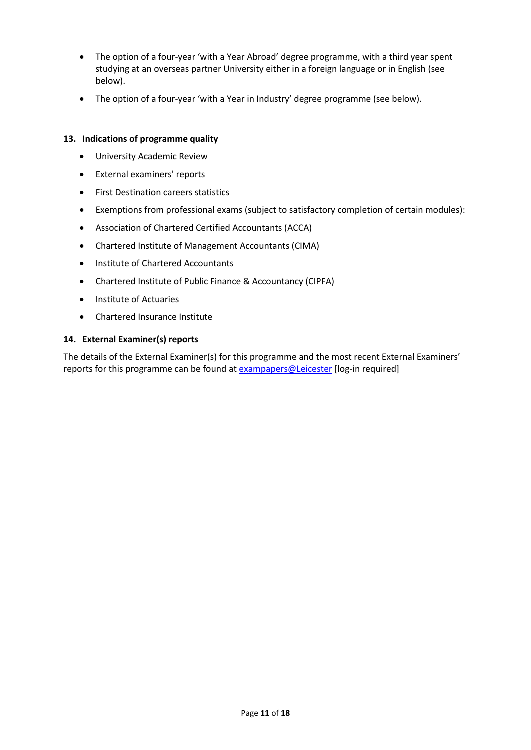- The option of a four-year 'with a Year Abroad' degree programme, with a third year spent studying at an overseas partner University either in a foreign language or in English (see below).
- The option of a four-year 'with a Year in Industry' degree programme (see below).

#### **13. Indications of programme quality**

- University Academic Review
- External examiners' reports
- First Destination careers statistics
- Exemptions from professional exams (subject to satisfactory completion of certain modules):
- Association of Chartered Certified Accountants (ACCA)
- Chartered Institute of Management Accountants (CIMA)
- Institute of Chartered Accountants
- Chartered Institute of Public Finance & Accountancy (CIPFA)
- Institute of Actuaries
- Chartered Insurance Institute

#### **14. External Examiner(s) reports**

The details of the External Examiner(s) for this programme and the most recent External Examiners' reports for this programme can be found at [exampapers@Leicester](https://exampapers.le.ac.uk/) [log-in required]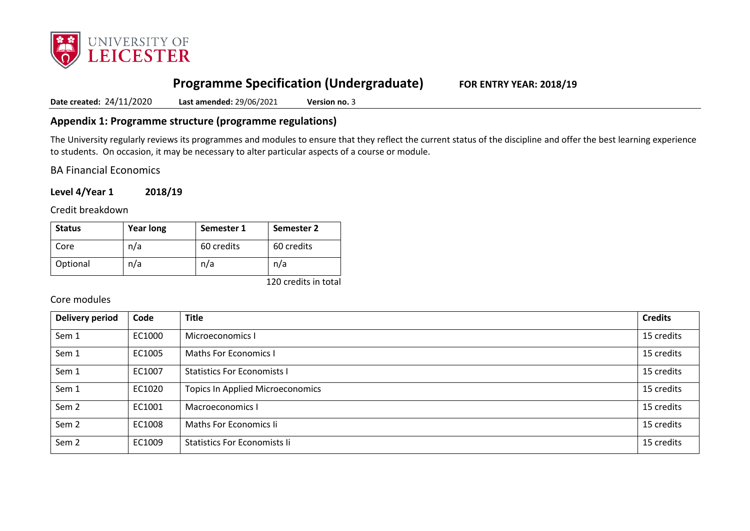

# **Programme Specification (Undergraduate) FOR ENTRY YEAR: 2018/19**

**Date created:** 24/11/2020 **Last amended:** 29/06/2021 **Version no.** 3

## **Appendix 1: Programme structure (programme regulations)**

The University regularly reviews its programmes and modules to ensure that they reflect the current status of the discipline and offer the best learning experience to students. On occasion, it may be necessary to alter particular aspects of a course or module.

BA Financial Economics

**Level 4/Year 1 2018/19**

Credit breakdown

| <b>Status</b> | <b>Year long</b> | Semester 1 | Semester 2 |
|---------------|------------------|------------|------------|
| Core          | n/a              | 60 credits | 60 credits |
| Optional      | n/a              | n/a        | n/a        |

120 credits in total

### Core modules

| <b>Delivery period</b> | Code   | <b>Title</b>                            | <b>Credits</b> |
|------------------------|--------|-----------------------------------------|----------------|
| Sem 1                  | EC1000 | Microeconomics I                        | 15 credits     |
| Sem 1                  | EC1005 | <b>Maths For Economics I</b>            | 15 credits     |
| Sem 1                  | EC1007 | <b>Statistics For Economists I</b>      | 15 credits     |
| Sem 1                  | EC1020 | <b>Topics In Applied Microeconomics</b> | 15 credits     |
| Sem <sub>2</sub>       | EC1001 | Macroeconomics I                        | 15 credits     |
| Sem <sub>2</sub>       | EC1008 | Maths For Economics Ii                  | 15 credits     |
| Sem <sub>2</sub>       | EC1009 | <b>Statistics For Economists li</b>     | 15 credits     |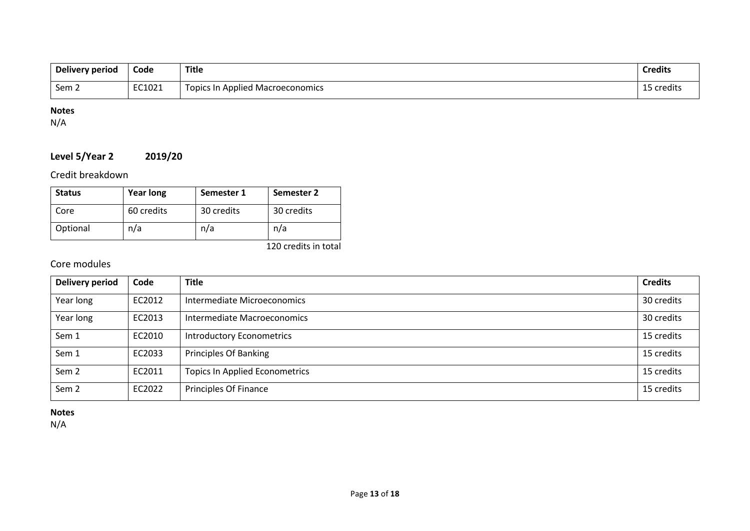| Delivery period | Code   | Title                                   | <b>Credits</b> |
|-----------------|--------|-----------------------------------------|----------------|
| Sem 2           | EC1021 | <b>Topics In Applied Macroeconomics</b> | credits        |

## **Notes**

N/A

## **Level 5/Year 2 2019/20**

Credit breakdown

| <b>Status</b> | <b>Year long</b> | Semester 1 | Semester 2 |
|---------------|------------------|------------|------------|
| Core          | 60 credits       | 30 credits | 30 credits |
| Optional      | n/a              | n/a        | n/a        |

120 credits in total

## Core modules

| Delivery period  | Code   | <b>Title</b>                          | <b>Credits</b> |
|------------------|--------|---------------------------------------|----------------|
| Year long        | EC2012 | Intermediate Microeconomics           | 30 credits     |
| Year long        | EC2013 | Intermediate Macroeconomics           | 30 credits     |
| Sem 1            | EC2010 | <b>Introductory Econometrics</b>      | 15 credits     |
| Sem 1            | EC2033 | <b>Principles Of Banking</b>          | 15 credits     |
| Sem <sub>2</sub> | EC2011 | <b>Topics In Applied Econometrics</b> | 15 credits     |
| Sem <sub>2</sub> | EC2022 | Principles Of Finance                 | 15 credits     |

## **Notes**

N/A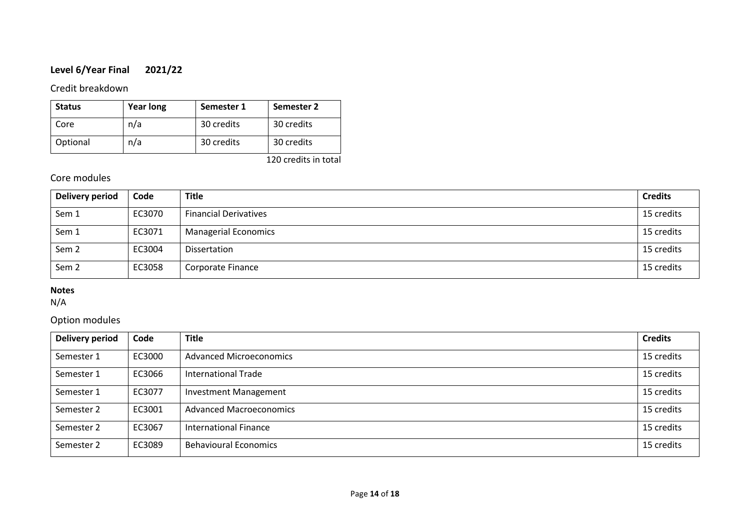## **Level 6/Year Final 2021/22**

## Credit breakdown

| <b>Status</b> | <b>Year long</b> | Semester 1 | Semester 2 |
|---------------|------------------|------------|------------|
| Core          | n/a              | 30 credits | 30 credits |
| Optional      | n/a              | 30 credits | 30 credits |

120 credits in total

## Core modules

| <b>Delivery period</b> | Code   | <b>Title</b>                 | <b>Credits</b> |
|------------------------|--------|------------------------------|----------------|
| Sem 1                  | EC3070 | <b>Financial Derivatives</b> | 15 credits     |
| Sem 1                  | EC3071 | <b>Managerial Economics</b>  | 15 credits     |
| Sem <sub>2</sub>       | EC3004 | Dissertation                 | 15 credits     |
| Sem <sub>2</sub>       | EC3058 | Corporate Finance            | 15 credits     |

## **Notes**

N/A

## Option modules

| Delivery period | Code   | <b>Title</b>                   | <b>Credits</b> |
|-----------------|--------|--------------------------------|----------------|
| Semester 1      | EC3000 | <b>Advanced Microeconomics</b> | 15 credits     |
| Semester 1      | EC3066 | International Trade            | 15 credits     |
| Semester 1      | EC3077 | <b>Investment Management</b>   | 15 credits     |
| Semester 2      | EC3001 | Advanced Macroeconomics        | 15 credits     |
| Semester 2      | EC3067 | International Finance          | 15 credits     |
| Semester 2      | EC3089 | <b>Behavioural Economics</b>   | 15 credits     |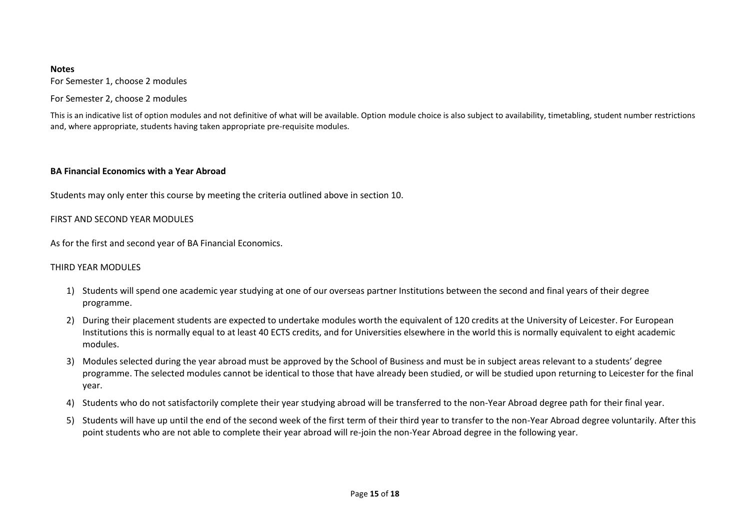#### **Notes**

For Semester 1, choose 2 modules

For Semester 2, choose 2 modules

This is an indicative list of option modules and not definitive of what will be available. Option module choice is also subject to availability, timetabling, student number restrictions and, where appropriate, students having taken appropriate pre-requisite modules.

#### **BA Financial Economics with a Year Abroad**

Students may only enter this course by meeting the criteria outlined above in section 10.

#### FIRST AND SECOND YEAR MODULES

As for the first and second year of BA Financial Economics.

#### THIRD YEAR MODULES

- 1) Students will spend one academic year studying at one of our overseas partner Institutions between the second and final years of their degree programme.
- 2) During their placement students are expected to undertake modules worth the equivalent of 120 credits at the University of Leicester. For European Institutions this is normally equal to at least 40 ECTS credits, and for Universities elsewhere in the world this is normally equivalent to eight academic modules.
- 3) Modules selected during the year abroad must be approved by the School of Business and must be in subject areas relevant to a students' degree programme. The selected modules cannot be identical to those that have already been studied, or will be studied upon returning to Leicester for the final year.
- 4) Students who do not satisfactorily complete their year studying abroad will be transferred to the non-Year Abroad degree path for their final year.
- 5) Students will have up until the end of the second week of the first term of their third year to transfer to the non-Year Abroad degree voluntarily. After this point students who are not able to complete their year abroad will re-join the non-Year Abroad degree in the following year.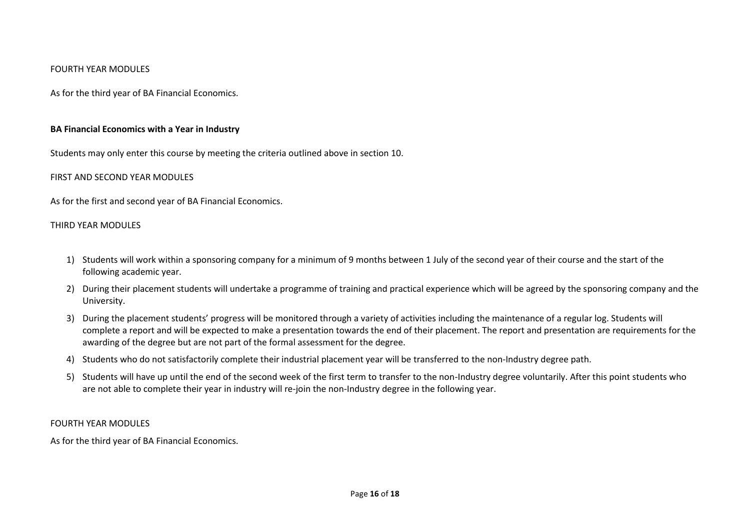#### FOURTH YEAR MODULES

As for the third year of BA Financial Economics.

#### **BA Financial Economics with a Year in Industry**

Students may only enter this course by meeting the criteria outlined above in section 10.

#### FIRST AND SECOND YEAR MODULES

As for the first and second year of BA Financial Economics.

#### THIRD YEAR MODULES

- 1) Students will work within a sponsoring company for a minimum of 9 months between 1 July of the second year of their course and the start of the following academic year.
- 2) During their placement students will undertake a programme of training and practical experience which will be agreed by the sponsoring company and the University.
- 3) During the placement students' progress will be monitored through a variety of activities including the maintenance of a regular log. Students will complete a report and will be expected to make a presentation towards the end of their placement. The report and presentation are requirements for the awarding of the degree but are not part of the formal assessment for the degree.
- 4) Students who do not satisfactorily complete their industrial placement year will be transferred to the non-Industry degree path.
- 5) Students will have up until the end of the second week of the first term to transfer to the non-Industry degree voluntarily. After this point students who are not able to complete their year in industry will re-join the non-Industry degree in the following year.

#### FOURTH YEAR MODULES

As for the third year of BA Financial Economics.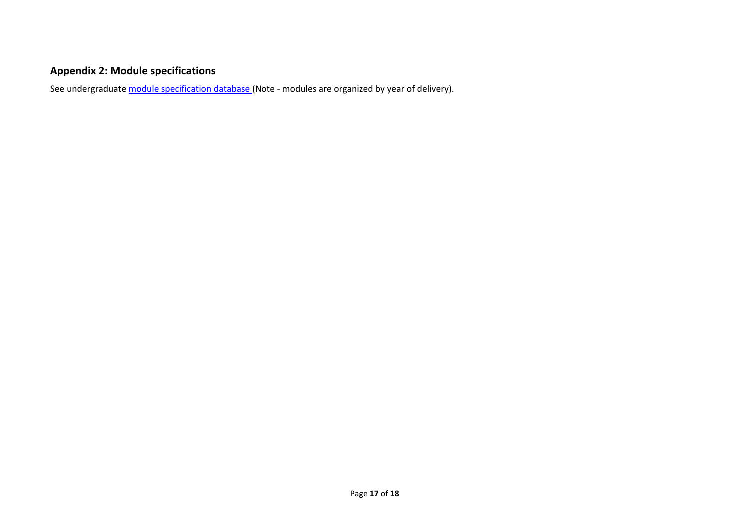# **Appendix 2: Module specifications**

See undergraduat[e module specification database](http://www.le.ac.uk/sas/courses/documentation) (Note - modules are organized by year of delivery).